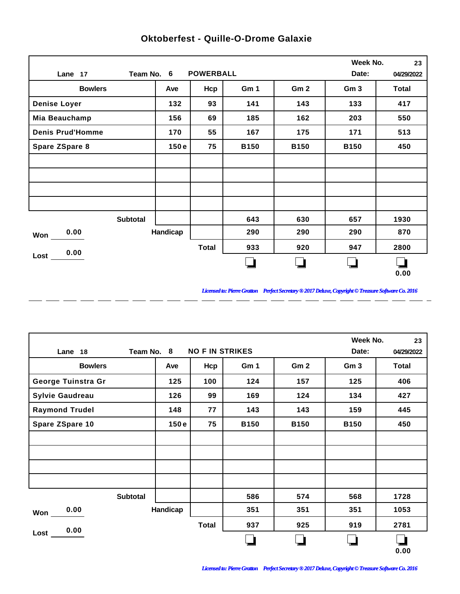|                         |          |                  |             |                 | Week No.        | 23           |
|-------------------------|----------|------------------|-------------|-----------------|-----------------|--------------|
| Team No. 6<br>Lane 17   |          | <b>POWERBALL</b> |             |                 | Date:           | 04/29/2022   |
| <b>Bowlers</b>          | Ave      | Hcp              | Gm 1        | Gm <sub>2</sub> | Gm <sub>3</sub> | <b>Total</b> |
| <b>Denise Loyer</b>     | 132      | 93               | 141         | 143             | 133             | 417          |
| Mia Beauchamp           | 156      | 69               | 185         | 162             | 203             | 550          |
| <b>Denis Prud'Homme</b> | 170      | 55               | 167         | 175             | 171             | 513          |
| Spare ZSpare 8          | 150e     | 75               | <b>B150</b> | <b>B150</b>     | <b>B150</b>     | 450          |
|                         |          |                  |             |                 |                 |              |
|                         |          |                  |             |                 |                 |              |
|                         |          |                  |             |                 |                 |              |
|                         |          |                  |             |                 |                 |              |
| <b>Subtotal</b>         |          |                  | 643         | 630             | 657             | 1930         |
| 0.00<br>Won             | Handicap |                  | 290         | 290             | 290             | 870          |
| 0.00                    |          | <b>Total</b>     | 933         | 920             | 947             | 2800         |
| Lost                    |          |                  |             |                 |                 | 0.00         |

 $\overline{a}$ 

 $\overline{a}$ 

 $\overline{a}$ 

 $\overline{a}$ 

 $-$ 

 $\overline{a}$ 

 $\overline{a}$ 

## **Oktoberfest - Quille-O-Drome Galaxie**

*Licensed to: Pierre Gratton Perfect Secretary ® 2017 Deluxe, Copyright © Treasure Software Co. 2016* <u> 2002 - 2003 - 2003 - 2003 - 2003 - 2003 - 2003 - 2003 - 200</u>

 $\overline{\phantom{0}}$ 

|                        |            |                        |             |                 | Week No.        | 23         |
|------------------------|------------|------------------------|-------------|-----------------|-----------------|------------|
| Lane 18                | Team No. 8 | <b>NO F IN STRIKES</b> |             |                 | Date:           | 04/29/2022 |
| <b>Bowlers</b>         | Ave        | Hcp                    | Gm 1        | Gm <sub>2</sub> | Gm <sub>3</sub> | Total      |
| George Tuinstra Gr     | 125        | 100                    | 124         | 157             | 125             | 406        |
| <b>Sylvie Gaudreau</b> | 126        | 99                     | 169         | 124             | 134             | 427        |
| <b>Raymond Trudel</b>  | 148        | 77                     | 143         | 143             | 159             | 445        |
| Spare ZSpare 10        | 150e       | 75                     | <b>B150</b> | <b>B150</b>     | <b>B150</b>     | 450        |
|                        |            |                        |             |                 |                 |            |
|                        |            |                        |             |                 |                 |            |
|                        |            |                        |             |                 |                 |            |
|                        |            |                        |             |                 |                 |            |
| <b>Subtotal</b>        |            |                        | 586         | 574             | 568             | 1728       |
| 0.00<br><b>Won</b>     | Handicap   |                        | 351         | 351             | 351             | 1053       |
| 0.00                   |            | <b>Total</b>           | 937         | 925             | 919             | 2781       |
| Lost                   |            |                        |             |                 |                 | 0.00       |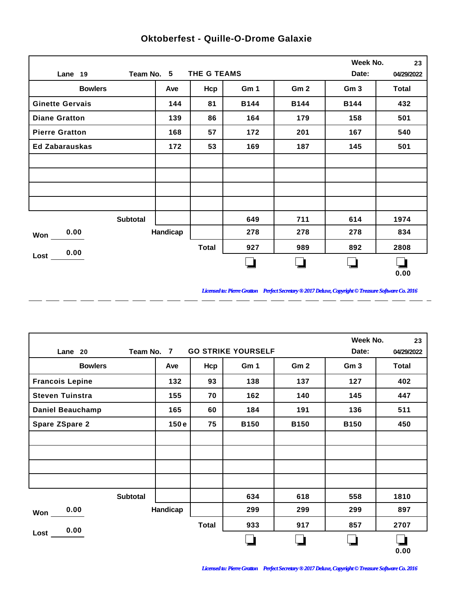|                        |          |              |             |                 | Week No.        | 23           |
|------------------------|----------|--------------|-------------|-----------------|-----------------|--------------|
| Team No. 5<br>Lane 19  |          | THE G TEAMS  |             |                 | Date:           | 04/29/2022   |
| <b>Bowlers</b>         | Ave      | Hcp          | Gm 1        | Gm <sub>2</sub> | Gm <sub>3</sub> | <b>Total</b> |
| <b>Ginette Gervais</b> | 144      | 81           | <b>B144</b> | <b>B144</b>     | <b>B144</b>     | 432          |
| <b>Diane Gratton</b>   | 139      | 86           | 164         | 179             | 158             | 501          |
| <b>Pierre Gratton</b>  | 168      | 57           | 172         | 201             | 167             | 540          |
| <b>Ed Zabarauskas</b>  | 172      | 53           | 169         | 187             | 145             | 501          |
|                        |          |              |             |                 |                 |              |
|                        |          |              |             |                 |                 |              |
|                        |          |              |             |                 |                 |              |
|                        |          |              |             |                 |                 |              |
| <b>Subtotal</b>        |          |              | 649         | 711             | 614             | 1974         |
| 0.00<br>Won            | Handicap |              | 278         | 278             | 278             | 834          |
| 0.00                   |          | <b>Total</b> | 927         | 989             | 892             | 2808         |
| Lost                   |          |              |             |                 |                 | 0.00         |

 $\overline{a}$ 

 $\overline{a}$ 

 $\overline{a}$ 

 $\overline{a}$ 

 $-$ 

 $\overline{a}$ 

 $\overline{a}$ 

## **Oktoberfest - Quille-O-Drome Galaxie**

*Licensed to: Pierre Gratton Perfect Secretary ® 2017 Deluxe, Copyright © Treasure Software Co. 2016* 

 $=$   $-$ 

|                         |            |              |                           |                 | Week No.        | 23           |
|-------------------------|------------|--------------|---------------------------|-----------------|-----------------|--------------|
| Lane 20                 | Team No. 7 |              | <b>GO STRIKE YOURSELF</b> |                 | Date:           | 04/29/2022   |
| <b>Bowlers</b>          | Ave        | Hcp          | Gm 1                      | Gm <sub>2</sub> | Gm <sub>3</sub> | <b>Total</b> |
| <b>Francois Lepine</b>  | 132        | 93           | 138                       | 137             | 127             | 402          |
| <b>Steven Tuinstra</b>  | 155        | 70           | 162                       | 140             | 145             | 447          |
| <b>Daniel Beauchamp</b> | 165        | 60           | 184                       | 191             | 136             | 511          |
| <b>Spare ZSpare 2</b>   | 150e       | 75           | <b>B150</b>               | <b>B150</b>     | <b>B150</b>     | 450          |
|                         |            |              |                           |                 |                 |              |
|                         |            |              |                           |                 |                 |              |
|                         |            |              |                           |                 |                 |              |
|                         |            |              |                           |                 |                 |              |
| <b>Subtotal</b>         |            |              | 634                       | 618             | 558             | 1810         |
| 0.00<br>Won             | Handicap   |              | 299                       | 299             | 299             | 897          |
| 0.00                    |            | <b>Total</b> | 933                       | 917             | 857             | 2707         |
| Lost                    |            |              |                           |                 |                 | 0.00         |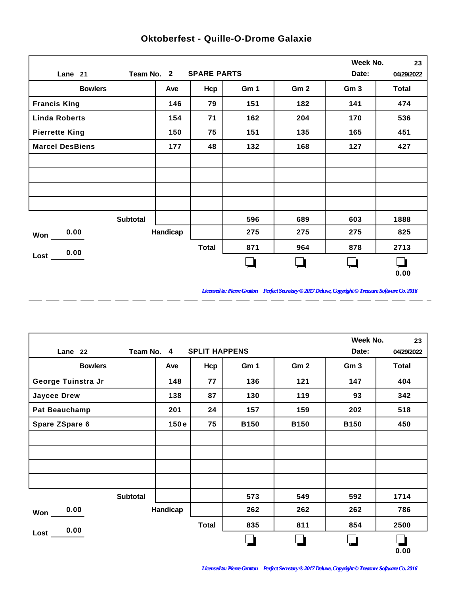|                        |          |                    |      |                 | Week No.        | 23           |
|------------------------|----------|--------------------|------|-----------------|-----------------|--------------|
| Team No. 2<br>Lane 21  |          | <b>SPARE PARTS</b> |      |                 | Date:           | 04/29/2022   |
| <b>Bowlers</b>         | Ave      | Hcp                | Gm 1 | Gm <sub>2</sub> | Gm <sub>3</sub> | <b>Total</b> |
| <b>Francis King</b>    | 146      | 79                 | 151  | 182             | 141             | 474          |
| <b>Linda Roberts</b>   | 154      | 71                 | 162  | 204             | 170             | 536          |
| <b>Pierrette King</b>  | 150      | 75                 | 151  | 135             | 165             | 451          |
| <b>Marcel DesBiens</b> | 177      | 48                 | 132  | 168             | 127             | 427          |
|                        |          |                    |      |                 |                 |              |
|                        |          |                    |      |                 |                 |              |
|                        |          |                    |      |                 |                 |              |
|                        |          |                    |      |                 |                 |              |
| <b>Subtotal</b>        |          |                    | 596  | 689             | 603             | 1888         |
| 0.00<br>Won            | Handicap |                    | 275  | 275             | 275             | 825          |
| 0.00                   |          | <b>Total</b>       | 871  | 964             | 878             | 2713         |
| Lost                   |          |                    |      |                 |                 | 0.00         |

 $\overline{a}$ 

 $\overline{a}$ 

 $\overline{a}$ 

 $\overline{a}$ 

 $-$ 

 $\overline{a}$ 

 $\overline{a}$ 

## **Oktoberfest - Quille-O-Drome Galaxie**

*Licensed to: Pierre Gratton Perfect Secretary ® 2017 Deluxe, Copyright © Treasure Software Co. 2016* 

 $=$   $-$ 

|                      |            |                      |             |                 | Week No.        | 23         |
|----------------------|------------|----------------------|-------------|-----------------|-----------------|------------|
| Lane 22              | Team No. 4 | <b>SPLIT HAPPENS</b> |             |                 | Date:           | 04/29/2022 |
| <b>Bowlers</b>       | Ave        | Hcp                  | Gm 1        | Gm <sub>2</sub> | Gm <sub>3</sub> | Total      |
| George Tuinstra Jr   | 148        | 77                   | 136         | 121             | 147             | 404        |
| <b>Jaycee Drew</b>   | 138        | 87                   | 130         | 119             | 93              | 342        |
| <b>Pat Beauchamp</b> | 201        | 24                   | 157         | 159             | 202             | 518        |
| Spare ZSpare 6       | 150e       | 75                   | <b>B150</b> | <b>B150</b>     | <b>B150</b>     | 450        |
|                      |            |                      |             |                 |                 |            |
|                      |            |                      |             |                 |                 |            |
|                      |            |                      |             |                 |                 |            |
|                      |            |                      |             |                 |                 |            |
| <b>Subtotal</b>      |            |                      | 573         | 549             | 592             | 1714       |
| 0.00<br>Won          | Handicap   |                      | 262         | 262             | 262             | 786        |
| 0.00                 |            | <b>Total</b>         | 835         | 811             | 854             | 2500       |
| Lost                 |            |                      |             |                 |                 | 0.00       |